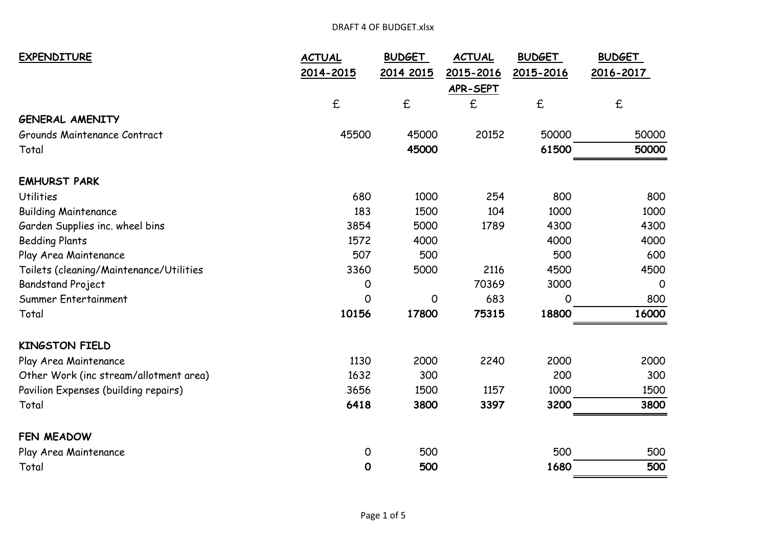| <b>EXPENDITURE</b>                      | <b>ACTUAL</b>      | <b>BUDGET</b>      | <b>ACTUAL</b> | <b>BUDGET</b> | <b>BUDGET</b>      |
|-----------------------------------------|--------------------|--------------------|---------------|---------------|--------------------|
|                                         | 2014-2015          | 2014 2015          | 2015-2016     | 2015-2016     | 2016-2017          |
|                                         |                    |                    | APR-SEPT      |               |                    |
|                                         | $\pmb{\mathsf{f}}$ | $\pmb{\mathsf{E}}$ | £             | $\mathbf f$   | $\pmb{\mathsf{f}}$ |
| <b>GENERAL AMENITY</b>                  |                    |                    |               |               |                    |
| Grounds Maintenance Contract            | 45500              | 45000              | 20152         | 50000         | 50000              |
| Total                                   |                    | 45000              |               | 61500         | 50000              |
| <b>EMHURST PARK</b>                     |                    |                    |               |               |                    |
| <b>Utilities</b>                        | 680                | 1000               | 254           | 800           | 800                |
| <b>Building Maintenance</b>             | 183                | 1500               | 104           | 1000          | 1000               |
| Garden Supplies inc. wheel bins         | 3854               | 5000               | 1789          | 4300          | 4300               |
| <b>Bedding Plants</b>                   | 1572               | 4000               |               | 4000          | 4000               |
| Play Area Maintenance                   | 507                | 500                |               | 500           | 600                |
| Toilets (cleaning/Maintenance/Utilities | 3360               | 5000               | 2116          | 4500          | 4500               |
| <b>Bandstand Project</b>                | 0                  |                    | 70369         | 3000          | $\Omega$           |
| Summer Entertainment                    | 0                  | 0                  | 683           | 0             | 800                |
| Total                                   | 10156              | 17800              | 75315         | 18800         | 16000              |
| <b>KINGSTON FIELD</b>                   |                    |                    |               |               |                    |
| Play Area Maintenance                   | 1130               | 2000               | 2240          | 2000          | 2000               |
| Other Work (inc stream/allotment area)  | 1632               | 300                |               | 200           | 300                |
| Pavilion Expenses (building repairs)    | 3656               | 1500               | 1157          | 1000          | 1500               |
| Total                                   | 6418               | 3800               | 3397          | 3200          | 3800               |
| FEN MEADOW                              |                    |                    |               |               |                    |
| Play Area Maintenance                   | 0                  | 500                |               | 500           | 500                |
| Total                                   | 0                  | 500                |               | 1680          | 500                |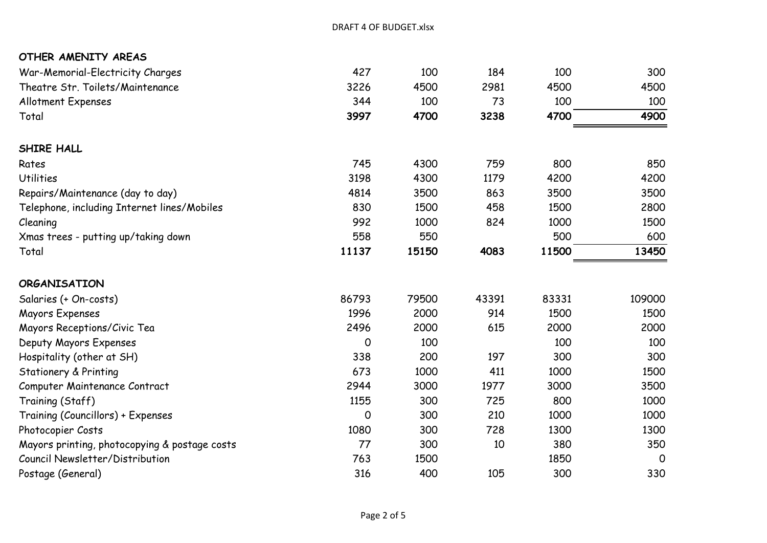| OTHER AMENITY AREAS                                             |                     |                     |                    |       |                     |
|-----------------------------------------------------------------|---------------------|---------------------|--------------------|-------|---------------------|
| War-Memorial-Electricity Charges                                | 427                 | 100                 | 184                | 100   | 300                 |
| Theatre Str. Toilets/Maintenance<br>Allotment Expenses<br>Total | 3226<br>344<br>3997 | 4500<br>100<br>4700 | 2981<br>73<br>3238 | 4500  | 4500<br>100<br>4900 |
|                                                                 |                     |                     |                    | 100   |                     |
|                                                                 |                     |                     |                    | 4700  |                     |
| SHIRE HALL                                                      |                     |                     |                    |       |                     |
| Rates                                                           | 745                 | 4300                | 759                | 800   | 850                 |
| <b>Utilities</b>                                                | 3198                | 4300                | 1179               | 4200  | 4200                |
| Repairs/Maintenance (day to day)                                | 4814                | 3500                | 863                | 3500  | 3500                |
| Telephone, including Internet lines/Mobiles                     | 830                 | 1500                | 458                | 1500  | 2800                |
| Cleaning                                                        | 992                 | 1000                | 824                | 1000  | 1500                |
| Xmas trees - putting up/taking down                             | 558                 | 550                 |                    | 500   | 600                 |
| Total                                                           | 11137               | 15150               | 4083               | 11500 | 13450               |
| <b>ORGANISATION</b>                                             |                     |                     |                    |       |                     |
| Salaries (+ On-costs)                                           | 86793               | 79500               | 43391              | 83331 | 109000              |
| Mayors Expenses                                                 | 1996                | 2000                | 914                | 1500  | 1500                |
| Mayors Receptions/Civic Tea                                     | 2496                | 2000                | 615                | 2000  | 2000                |
| Deputy Mayors Expenses                                          | $\Omega$            | 100                 |                    | 100   | 100                 |
| Hospitality (other at SH)                                       | 338                 | 200                 | 197                | 300   | 300                 |
| <b>Stationery &amp; Printing</b>                                | 673                 | 1000                | 411                | 1000  | 1500                |
| Computer Maintenance Contract                                   | 2944                | 3000                | 1977               | 3000  | 3500                |
| Training (Staff)                                                | 1155                | 300                 | 725                | 800   | 1000                |
| Training (Councillors) + Expenses                               | 0                   | 300                 | 210                | 1000  | 1000                |
| Photocopier Costs                                               | 1080                | 300                 | 728                | 1300  | 1300                |
| Mayors printing, photocopying & postage costs                   | 77                  | 300                 | 10                 | 380   | 350                 |
| Council Newsletter/Distribution                                 | 763                 | 1500                |                    | 1850  | $\overline{0}$      |
| Postage (General)                                               | 316                 | 400                 | 105                | 300   | 330                 |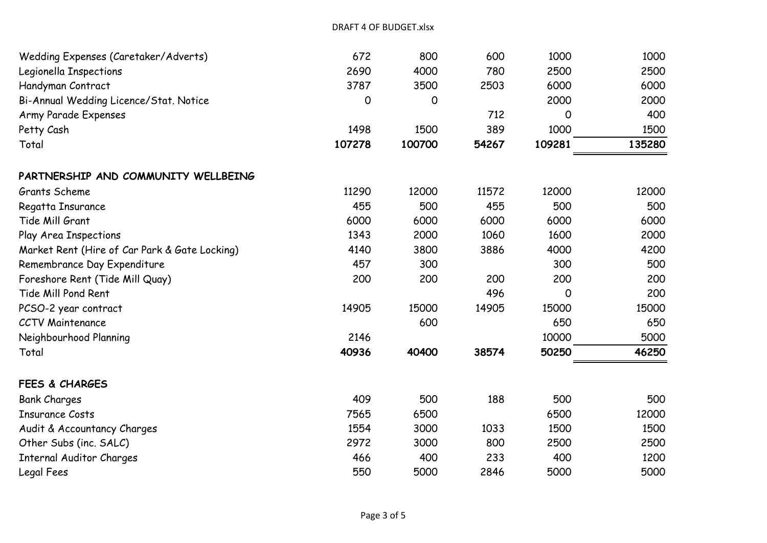| Wedding Expenses (Caretaker/Adverts)          | 672    | 800    | 600   | 1000   | 1000   |
|-----------------------------------------------|--------|--------|-------|--------|--------|
| Legionella Inspections                        | 2690   | 4000   | 780   | 2500   | 2500   |
| Handyman Contract                             | 3787   | 3500   | 2503  | 6000   | 6000   |
| Bi-Annual Wedding Licence/Stat. Notice        | 0      | O      |       | 2000   | 2000   |
| Army Parade Expenses                          |        |        | 712   | 0      | 400    |
| Petty Cash                                    | 1498   | 1500   | 389   | 1000   | 1500   |
| Total                                         | 107278 | 100700 | 54267 | 109281 | 135280 |
| PARTNERSHIP AND COMMUNITY WELLBEING           |        |        |       |        |        |
| Grants Scheme                                 | 11290  | 12000  | 11572 | 12000  | 12000  |
| Regatta Insurance                             | 455    | 500    | 455   | 500    | 500    |
| Tide Mill Grant                               | 6000   | 6000   | 6000  | 6000   | 6000   |
| Play Area Inspections                         | 1343   | 2000   | 1060  | 1600   | 2000   |
| Market Rent (Hire of Car Park & Gate Locking) | 4140   | 3800   | 3886  | 4000   | 4200   |
| Remembrance Day Expenditure                   | 457    | 300    |       | 300    | 500    |
| Foreshore Rent (Tide Mill Quay)               | 200    | 200    | 200   | 200    | 200    |
| Tide Mill Pond Rent                           |        |        | 496   | 0      | 200    |
| PCSO-2 year contract                          | 14905  | 15000  | 14905 | 15000  | 15000  |
| <b>CCTV Maintenance</b>                       |        | 600    |       | 650    | 650    |
| Neighbourhood Planning                        | 2146   |        |       | 10000  | 5000   |
| Total                                         | 40936  | 40400  | 38574 | 50250  | 46250  |
| <b>FEES &amp; CHARGES</b>                     |        |        |       |        |        |
| <b>Bank Charges</b>                           | 409    | 500    | 188   | 500    | 500    |
| <b>Insurance Costs</b>                        | 7565   | 6500   |       | 6500   | 12000  |
| Audit & Accountancy Charges                   | 1554   | 3000   | 1033  | 1500   | 1500   |
| Other Subs (inc. SALC)                        | 2972   | 3000   | 800   | 2500   | 2500   |
| <b>Internal Auditor Charges</b>               | 466    | 400    | 233   | 400    | 1200   |
| Legal Fees                                    | 550    | 5000   | 2846  | 5000   | 5000   |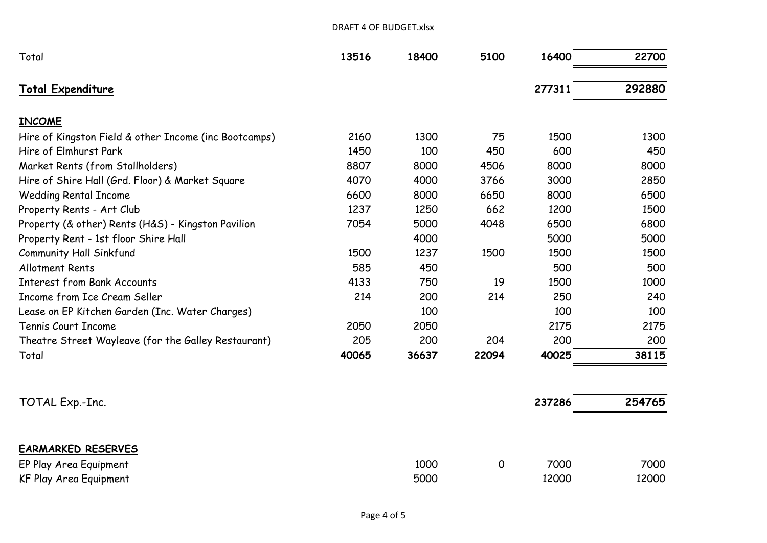| Total                                                 | 13516 | 18400 | 5100  | 16400  | 22700  |
|-------------------------------------------------------|-------|-------|-------|--------|--------|
| <b>Total Expenditure</b>                              |       |       |       | 277311 | 292880 |
| <b>INCOME</b>                                         |       |       |       |        |        |
| Hire of Kingston Field & other Income (inc Bootcamps) | 2160  | 1300  | 75    | 1500   | 1300   |
| Hire of Elmhurst Park                                 | 1450  | 100   | 450   | 600    | 450    |
| Market Rents (from Stallholders)                      | 8807  | 8000  | 4506  | 8000   | 8000   |
| Hire of Shire Hall (Grd. Floor) & Market Square       | 4070  | 4000  | 3766  | 3000   | 2850   |
| <b>Wedding Rental Income</b>                          | 6600  | 8000  | 6650  | 8000   | 6500   |
| Property Rents - Art Club                             | 1237  | 1250  | 662   | 1200   | 1500   |
| Property (& other) Rents (H&S) - Kingston Pavilion    | 7054  | 5000  | 4048  | 6500   | 6800   |
| Property Rent - 1st floor Shire Hall                  |       | 4000  |       | 5000   | 5000   |
| Community Hall Sinkfund                               | 1500  | 1237  | 1500  | 1500   | 1500   |
| <b>Allotment Rents</b>                                | 585   | 450   |       | 500    | 500    |
| <b>Interest from Bank Accounts</b>                    | 4133  | 750   | 19    | 1500   | 1000   |
| Income from Ice Cream Seller                          | 214   | 200   | 214   | 250    | 240    |
| Lease on EP Kitchen Garden (Inc. Water Charges)       |       | 100   |       | 100    | 100    |
| Tennis Court Income                                   | 2050  | 2050  |       | 2175   | 2175   |
| Theatre Street Wayleave (for the Galley Restaurant)   | 205   | 200   | 204   | 200    | 200    |
| Total                                                 | 40065 | 36637 | 22094 | 40025  | 38115  |

DRAFT 4 OF BUDGET.xlsx

| TOTAL Exp.-Inc.        |      |   | 237286 | 254765 |
|------------------------|------|---|--------|--------|
|                        |      |   |        |        |
| EARMARKED RESERVES     |      |   |        |        |
| EP Play Area Equipment | 1000 | 0 | 7000   | 7000   |
| KF Play Area Equipment | 5000 |   | 12000  | 12000  |